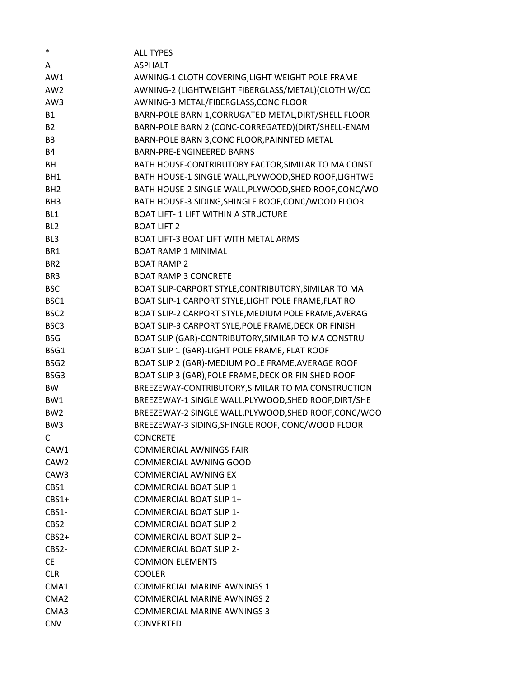| *                | <b>ALL TYPES</b>                                      |
|------------------|-------------------------------------------------------|
| A                | <b>ASPHALT</b>                                        |
| AW1              | AWNING-1 CLOTH COVERING, LIGHT WEIGHT POLE FRAME      |
| AW <sub>2</sub>  | AWNING-2 (LIGHTWEIGHT FIBERGLASS/METAL)(CLOTH W/CO    |
| AW3              | AWNING-3 METAL/FIBERGLASS, CONC FLOOR                 |
| <b>B1</b>        | BARN-POLE BARN 1, CORRUGATED METAL, DIRT/SHELL FLOOR  |
| <b>B2</b>        | BARN-POLE BARN 2 (CONC-CORREGATED)(DIRT/SHELL-ENAM    |
| B <sub>3</sub>   | BARN-POLE BARN 3, CONC FLOOR, PAINNTED METAL          |
| <b>B4</b>        | BARN-PRE-ENGINEERED BARNS                             |
| BH               | BATH HOUSE-CONTRIBUTORY FACTOR, SIMILAR TO MA CONST   |
| BH1              | BATH HOUSE-1 SINGLE WALL, PLYWOOD, SHED ROOF, LIGHTWE |
| BH <sub>2</sub>  | BATH HOUSE-2 SINGLE WALL, PLYWOOD, SHED ROOF, CONC/WO |
| BH <sub>3</sub>  | BATH HOUSE-3 SIDING, SHINGLE ROOF, CONC/WOOD FLOOR    |
| BL1              | <b>BOAT LIFT-1 LIFT WITHIN A STRUCTURE</b>            |
| BL <sub>2</sub>  | <b>BOAT LIFT 2</b>                                    |
| BL <sub>3</sub>  | BOAT LIFT-3 BOAT LIFT WITH METAL ARMS                 |
| BR1              | <b>BOAT RAMP 1 MINIMAL</b>                            |
| BR <sub>2</sub>  | <b>BOAT RAMP 2</b>                                    |
| BR <sub>3</sub>  | <b>BOAT RAMP 3 CONCRETE</b>                           |
| <b>BSC</b>       | BOAT SLIP-CARPORT STYLE, CONTRIBUTORY, SIMILAR TO MA  |
| BSC1             | BOAT SLIP-1 CARPORT STYLE, LIGHT POLE FRAME, FLAT RO  |
| BSC <sub>2</sub> | BOAT SLIP-2 CARPORT STYLE, MEDIUM POLE FRAME, AVERAG  |
| BSC3             | BOAT SLIP-3 CARPORT SYLE, POLE FRAME, DECK OR FINISH  |
| <b>BSG</b>       | BOAT SLIP (GAR)-CONTRIBUTORY, SIMILAR TO MA CONSTRU   |
| BSG1             | BOAT SLIP 1 (GAR)-LIGHT POLE FRAME, FLAT ROOF         |
| BSG <sub>2</sub> | BOAT SLIP 2 (GAR)-MEDIUM POLE FRAME, AVERAGE ROOF     |
| BSG3             | BOAT SLIP 3 (GAR), POLE FRAME, DECK OR FINISHED ROOF  |
| <b>BW</b>        | BREEZEWAY-CONTRIBUTORY, SIMILAR TO MA CONSTRUCTION    |
| BW1              | BREEZEWAY-1 SINGLE WALL, PLYWOOD, SHED ROOF, DIRT/SHE |
| BW <sub>2</sub>  | BREEZEWAY-2 SINGLE WALL, PLYWOOD, SHED ROOF, CONC/WOO |
| BW <sub>3</sub>  | BREEZEWAY-3 SIDING, SHINGLE ROOF, CONC/WOOD FLOOR     |
| C                | <b>CONCRETE</b>                                       |
| CAW1             | <b>COMMERCIAL AWNINGS FAIR</b>                        |
| CAW <sub>2</sub> | COMMERCIAL AWNING GOOD                                |
| CAW3             | <b>COMMERCIAL AWNING EX</b>                           |
| CBS1             | <b>COMMERCIAL BOAT SLIP 1</b>                         |
| $CBS1+$          | COMMERCIAL BOAT SLIP 1+                               |
| $CBS1-$          | <b>COMMERCIAL BOAT SLIP 1-</b>                        |
| CBS2             | <b>COMMERCIAL BOAT SLIP 2</b>                         |
| $CBS2+$          | COMMERCIAL BOAT SLIP 2+                               |
| CBS2-            | <b>COMMERCIAL BOAT SLIP 2-</b>                        |
| <b>CE</b>        | <b>COMMON ELEMENTS</b>                                |
| <b>CLR</b>       | <b>COOLER</b>                                         |
| CMA1             | <b>COMMERCIAL MARINE AWNINGS 1</b>                    |
| CMA <sub>2</sub> | <b>COMMERCIAL MARINE AWNINGS 2</b>                    |
| CMA3             | <b>COMMERCIAL MARINE AWNINGS 3</b>                    |
| <b>CNV</b>       | <b>CONVERTED</b>                                      |
|                  |                                                       |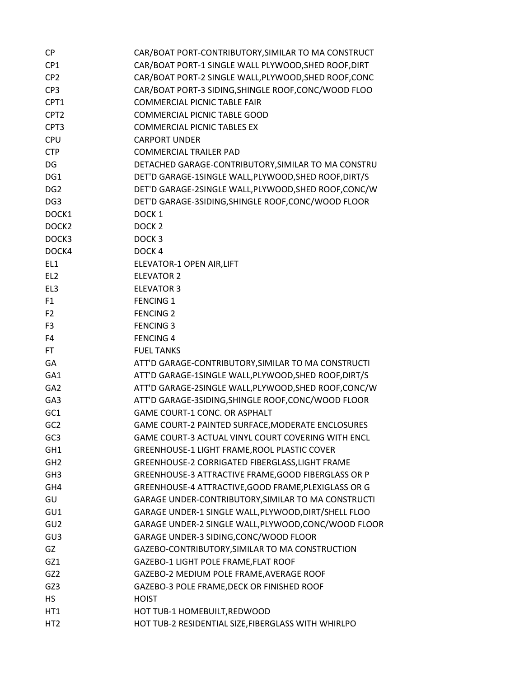| <b>CP</b>         | CAR/BOAT PORT-CONTRIBUTORY, SIMILAR TO MA CONSTRUCT   |
|-------------------|-------------------------------------------------------|
| CP1               | CAR/BOAT PORT-1 SINGLE WALL PLYWOOD, SHED ROOF, DIRT  |
| CP <sub>2</sub>   | CAR/BOAT PORT-2 SINGLE WALL, PLYWOOD, SHED ROOF, CONC |
| CP <sub>3</sub>   | CAR/BOAT PORT-3 SIDING, SHINGLE ROOF, CONC/WOOD FLOO  |
| CPT1              | <b>COMMERCIAL PICNIC TABLE FAIR</b>                   |
| CPT <sub>2</sub>  | <b>COMMERCIAL PICNIC TABLE GOOD</b>                   |
| CPT3              | <b>COMMERCIAL PICNIC TABLES EX</b>                    |
| <b>CPU</b>        | <b>CARPORT UNDER</b>                                  |
| <b>CTP</b>        | <b>COMMERCIAL TRAILER PAD</b>                         |
| DG                | DETACHED GARAGE-CONTRIBUTORY, SIMILAR TO MA CONSTRU   |
| DG1               | DET'D GARAGE-1SINGLE WALL, PLYWOOD, SHED ROOF, DIRT/S |
| DG <sub>2</sub>   | DET'D GARAGE-2SINGLE WALL, PLYWOOD, SHED ROOF, CONC/W |
| DG <sub>3</sub>   | DET'D GARAGE-3SIDING, SHINGLE ROOF, CONC/WOOD FLOOR   |
| DOCK1             | DOCK <sub>1</sub>                                     |
| DOCK <sub>2</sub> | DOCK <sub>2</sub>                                     |
| DOCK3             | DOCK <sub>3</sub>                                     |
| DOCK4             | DOCK <sub>4</sub>                                     |
| EL1               | ELEVATOR-1 OPEN AIR, LIFT                             |
| EL <sub>2</sub>   | <b>ELEVATOR 2</b>                                     |
| EL <sub>3</sub>   | <b>ELEVATOR 3</b>                                     |
| F1                | <b>FENCING 1</b>                                      |
| F <sub>2</sub>    | <b>FENCING 2</b>                                      |
| F <sub>3</sub>    | <b>FENCING 3</b>                                      |
| F4                | <b>FENCING 4</b>                                      |
| <b>FT</b>         | <b>FUEL TANKS</b>                                     |
| GA                | ATT'D GARAGE-CONTRIBUTORY, SIMILAR TO MA CONSTRUCTI   |
| GA1               | ATT'D GARAGE-1SINGLE WALL, PLYWOOD, SHED ROOF, DIRT/S |
| GA <sub>2</sub>   | ATT'D GARAGE-2SINGLE WALL, PLYWOOD, SHED ROOF, CONC/W |
| GA3               | ATT'D GARAGE-3SIDING, SHINGLE ROOF, CONC/WOOD FLOOR   |
| GC1               | GAME COURT-1 CONC. OR ASPHALT                         |
| GC <sub>2</sub>   | GAME COURT-2 PAINTED SURFACE, MODERATE ENCLOSURES     |
| GC <sub>3</sub>   | GAME COURT-3 ACTUAL VINYL COURT COVERING WITH ENCL    |
| GH1               | GREENHOUSE-1 LIGHT FRAME, ROOL PLASTIC COVER          |
| GH <sub>2</sub>   | GREENHOUSE-2 CORRIGATED FIBERGLASS, LIGHT FRAME       |
| GH <sub>3</sub>   | GREENHOUSE-3 ATTRACTIVE FRAME, GOOD FIBERGLASS OR P   |
| GH4               | GREENHOUSE-4 ATTRACTIVE, GOOD FRAME, PLEXIGLASS OR G  |
| GU                | GARAGE UNDER-CONTRIBUTORY, SIMILAR TO MA CONSTRUCTI   |
| GU1               | GARAGE UNDER-1 SINGLE WALL, PLYWOOD, DIRT/SHELL FLOO  |
| GU2               | GARAGE UNDER-2 SINGLE WALL, PLYWOOD, CONC/WOOD FLOOR  |
| GU <sub>3</sub>   | GARAGE UNDER-3 SIDING, CONC/WOOD FLOOR                |
| GZ                | GAZEBO-CONTRIBUTORY, SIMILAR TO MA CONSTRUCTION       |
| GZ1               | GAZEBO-1 LIGHT POLE FRAME, FLAT ROOF                  |
| GZ <sub>2</sub>   | GAZEBO-2 MEDIUM POLE FRAME, AVERAGE ROOF              |
| GZ3               | GAZEBO-3 POLE FRAME, DECK OR FINISHED ROOF            |
| <b>HS</b>         | <b>HOIST</b>                                          |
| HT1               | HOT TUB-1 HOMEBUILT, REDWOOD                          |
| HT <sub>2</sub>   | HOT TUB-2 RESIDENTIAL SIZE, FIBERGLASS WITH WHIRLPO   |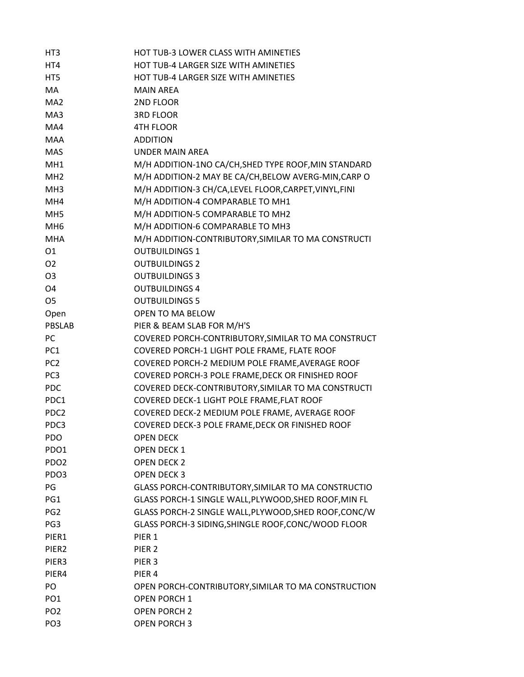| HT <sub>3</sub>   | HOT TUB-3 LOWER CLASS WITH AMINETIES                   |
|-------------------|--------------------------------------------------------|
| HT4               | <b>HOT TUB-4 LARGER SIZE WITH AMINETIES</b>            |
| HT5               | HOT TUB-4 LARGER SIZE WITH AMINETIES                   |
| <b>MA</b>         | <b>MAIN AREA</b>                                       |
| MA <sub>2</sub>   | 2ND FLOOR                                              |
| MA3               | <b>3RD FLOOR</b>                                       |
| MA4               | <b>4TH FLOOR</b>                                       |
| <b>MAA</b>        | <b>ADDITION</b>                                        |
| <b>MAS</b>        | <b>UNDER MAIN AREA</b>                                 |
| MH <sub>1</sub>   | M/H ADDITION-1NO CA/CH, SHED TYPE ROOF, MIN STANDARD   |
| MH <sub>2</sub>   | M/H ADDITION-2 MAY BE CA/CH, BELOW AVERG-MIN, CARP O   |
| MH <sub>3</sub>   | M/H ADDITION-3 CH/CA, LEVEL FLOOR, CARPET, VINYL, FINI |
| MH4               | M/H ADDITION-4 COMPARABLE TO MH1                       |
| MH <sub>5</sub>   | M/H ADDITION-5 COMPARABLE TO MH2                       |
| MH <sub>6</sub>   | M/H ADDITION-6 COMPARABLE TO MH3                       |
| <b>MHA</b>        | M/H ADDITION-CONTRIBUTORY, SIMILAR TO MA CONSTRUCTI    |
| 01                | <b>OUTBUILDINGS 1</b>                                  |
| O <sub>2</sub>    | <b>OUTBUILDINGS 2</b>                                  |
| O <sub>3</sub>    | <b>OUTBUILDINGS 3</b>                                  |
| O <sub>4</sub>    | <b>OUTBUILDINGS 4</b>                                  |
| O <sub>5</sub>    | <b>OUTBUILDINGS 5</b>                                  |
| Open              | OPEN TO MA BELOW                                       |
| <b>PBSLAB</b>     | PIER & BEAM SLAB FOR M/H'S                             |
| PC                | COVERED PORCH-CONTRIBUTORY, SIMILAR TO MA CONSTRUCT    |
| PC1               | COVERED PORCH-1 LIGHT POLE FRAME, FLATE ROOF           |
| PC <sub>2</sub>   | COVERED PORCH-2 MEDIUM POLE FRAME, AVERAGE ROOF        |
| PC <sub>3</sub>   | COVERED PORCH-3 POLE FRAME, DECK OR FINISHED ROOF      |
| <b>PDC</b>        | COVERED DECK-CONTRIBUTORY, SIMILAR TO MA CONSTRUCTI    |
| PDC1              | COVERED DECK-1 LIGHT POLE FRAME, FLAT ROOF             |
| PDC <sub>2</sub>  | COVERED DECK-2 MEDIUM POLE FRAME, AVERAGE ROOF         |
| PDC3              | COVERED DECK-3 POLE FRAME, DECK OR FINISHED ROOF       |
| PDO               | <b>OPEN DECK</b>                                       |
| PDO1              | <b>OPEN DECK 1</b>                                     |
| PDO <sub>2</sub>  | OPEN DECK 2                                            |
| PDO3              | <b>OPEN DECK 3</b>                                     |
| PG                | GLASS PORCH-CONTRIBUTORY, SIMILAR TO MA CONSTRUCTIO    |
| PG1               | GLASS PORCH-1 SINGLE WALL, PLYWOOD, SHED ROOF, MIN FL  |
| PG <sub>2</sub>   | GLASS PORCH-2 SINGLE WALL, PLYWOOD, SHED ROOF, CONC/W  |
| PG3               | GLASS PORCH-3 SIDING, SHINGLE ROOF, CONC/WOOD FLOOR    |
| PIER1             | PIER <sub>1</sub>                                      |
| PIER <sub>2</sub> | PIER <sub>2</sub>                                      |
| PIER3             | PIER <sub>3</sub>                                      |
| PIER4             | PIER 4                                                 |
| PO                | OPEN PORCH-CONTRIBUTORY, SIMILAR TO MA CONSTRUCTION    |
| PO <sub>1</sub>   | <b>OPEN PORCH 1</b>                                    |
| PO <sub>2</sub>   | <b>OPEN PORCH 2</b>                                    |
| PO <sub>3</sub>   | <b>OPEN PORCH 3</b>                                    |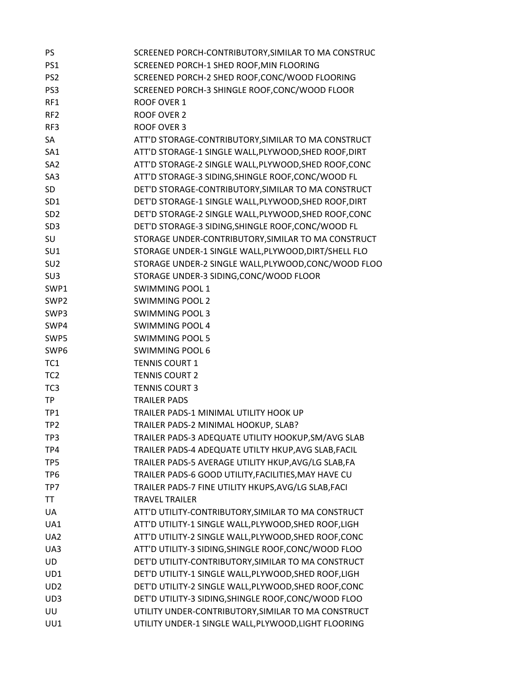| PS.              | SCREENED PORCH-CONTRIBUTORY, SIMILAR TO MA CONSTRUC   |
|------------------|-------------------------------------------------------|
| PS1              | SCREENED PORCH-1 SHED ROOF, MIN FLOORING              |
| PS <sub>2</sub>  | SCREENED PORCH-2 SHED ROOF, CONC/WOOD FLOORING        |
| PS3              | SCREENED PORCH-3 SHINGLE ROOF, CONC/WOOD FLOOR        |
| RF1              | <b>ROOF OVER 1</b>                                    |
| RF <sub>2</sub>  | <b>ROOF OVER 2</b>                                    |
| RF3              | <b>ROOF OVER 3</b>                                    |
| SA               | ATT'D STORAGE-CONTRIBUTORY, SIMILAR TO MA CONSTRUCT   |
| SA <sub>1</sub>  | ATT'D STORAGE-1 SINGLE WALL, PLYWOOD, SHED ROOF, DIRT |
| SA <sub>2</sub>  | ATT'D STORAGE-2 SINGLE WALL, PLYWOOD, SHED ROOF, CONC |
| SA3              | ATT'D STORAGE-3 SIDING, SHINGLE ROOF, CONC/WOOD FL    |
| SD               | DET'D STORAGE-CONTRIBUTORY, SIMILAR TO MA CONSTRUCT   |
| SD <sub>1</sub>  | DET'D STORAGE-1 SINGLE WALL, PLYWOOD, SHED ROOF, DIRT |
| SD <sub>2</sub>  | DET'D STORAGE-2 SINGLE WALL, PLYWOOD, SHED ROOF, CONC |
| SD <sub>3</sub>  | DET'D STORAGE-3 SIDING, SHINGLE ROOF, CONC/WOOD FL    |
| SU               | STORAGE UNDER-CONTRIBUTORY, SIMILAR TO MA CONSTRUCT   |
| SU1              | STORAGE UNDER-1 SINGLE WALL, PLYWOOD, DIRT/SHELL FLO  |
| SU <sub>2</sub>  | STORAGE UNDER-2 SINGLE WALL, PLYWOOD, CONC/WOOD FLOO  |
| SU <sub>3</sub>  | STORAGE UNDER-3 SIDING, CONC/WOOD FLOOR               |
| SWP1             | <b>SWIMMING POOL 1</b>                                |
| SWP <sub>2</sub> | <b>SWIMMING POOL 2</b>                                |
| SWP3             | <b>SWIMMING POOL 3</b>                                |
| SWP4             | <b>SWIMMING POOL 4</b>                                |
| SWP5             | <b>SWIMMING POOL 5</b>                                |
| SWP <sub>6</sub> | <b>SWIMMING POOL 6</b>                                |
| TC1              | <b>TENNIS COURT 1</b>                                 |
| TC <sub>2</sub>  | <b>TENNIS COURT 2</b>                                 |
| TC <sub>3</sub>  | <b>TENNIS COURT 3</b>                                 |
| <b>TP</b>        | <b>TRAILER PADS</b>                                   |
| TP1              | TRAILER PADS-1 MINIMAL UTILITY HOOK UP                |
| TP <sub>2</sub>  | TRAILER PADS-2 MINIMAL HOOKUP, SLAB?                  |
| TP3              | TRAILER PADS-3 ADEQUATE UTILITY HOOKUP, SM/AVG SLAB   |
| TP4              | TRAILER PADS-4 ADEQUATE UTILTY HKUP, AVG SLAB, FACIL  |
| TP <sub>5</sub>  | TRAILER PADS-5 AVERAGE UTILITY HKUP, AVG/LG SLAB, FA  |
| TP <sub>6</sub>  | TRAILER PADS-6 GOOD UTILITY, FACILITIES, MAY HAVE CU  |
| TP7              | TRAILER PADS-7 FINE UTILITY HKUPS, AVG/LG SLAB, FACI  |
| TT               | <b>TRAVEL TRAILER</b>                                 |
| <b>UA</b>        | ATT'D UTILITY-CONTRIBUTORY, SIMILAR TO MA CONSTRUCT   |
| UA1              | ATT'D UTILITY-1 SINGLE WALL, PLYWOOD, SHED ROOF, LIGH |
| UA <sub>2</sub>  | ATT'D UTILITY-2 SINGLE WALL, PLYWOOD, SHED ROOF, CONC |
| UA3              | ATT'D UTILITY-3 SIDING, SHINGLE ROOF, CONC/WOOD FLOO  |
| <b>UD</b>        | DET'D UTILITY-CONTRIBUTORY, SIMILAR TO MA CONSTRUCT   |
| UD1              | DET'D UTILITY-1 SINGLE WALL, PLYWOOD, SHED ROOF, LIGH |
| UD <sub>2</sub>  | DET'D UTILITY-2 SINGLE WALL, PLYWOOD, SHED ROOF, CONC |
| UD3              | DET'D UTILITY-3 SIDING, SHINGLE ROOF, CONC/WOOD FLOO  |
| UU               | UTILITY UNDER-CONTRIBUTORY, SIMILAR TO MA CONSTRUCT   |
| UU1              | UTILITY UNDER-1 SINGLE WALL, PLYWOOD, LIGHT FLOORING  |